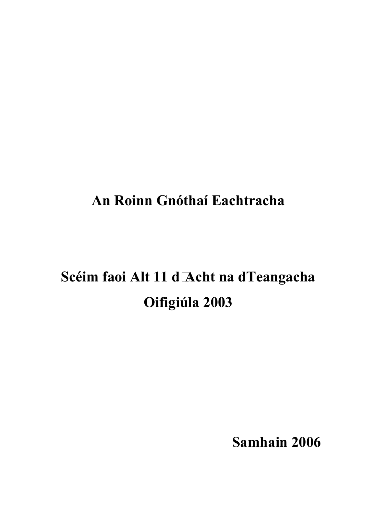## **An Roinn Gnóthaí Eachtracha**

# Scéim faoi Alt 11 d Acht na dTeangacha **Oifigiúla 2003**

**Samhain 2006**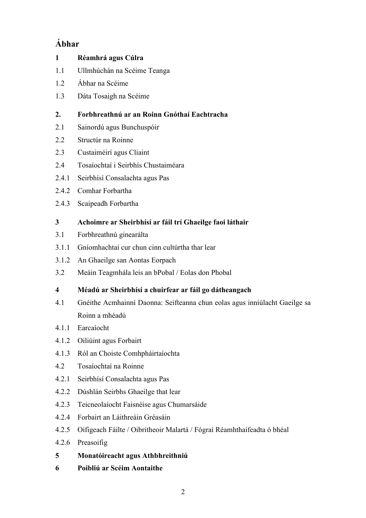## **Ábhar**

| $\mathbf{1}$            | Réamhrá agus Cúlra                                                         |
|-------------------------|----------------------------------------------------------------------------|
| 1.1                     | Ullmhúchán na Scéime Teanga                                                |
| 1.2                     | Ábhar na Scéime                                                            |
| 1.3                     | Dáta Tosaigh na Scéime                                                     |
| 2.                      | Forbhreathnú ar an Roinn Gnóthaí Eachtracha                                |
| 2.1                     | Sainordú agus Bunchuspóir                                                  |
| 2.2                     | Structúr na Roinne                                                         |
| 2.3                     | Custaiméirí agus Cliaint                                                   |
| 2.4                     | Tosaíochtaí i Seirbhís Chustaiméara                                        |
| 2.4.1                   | Seirbhísí Consalachta agus Pas                                             |
| 2.4.2                   | Comhar Forbartha                                                           |
| 2.4.3                   | Scaipeadh Forbartha                                                        |
| 3                       | Achoimre ar Sheirbhísí ar fáil trí Ghaeilge faoi láthair                   |
| 3.1                     | Forbhreathnú ginearálta                                                    |
| 3.1.1                   | Gníomhachtaí cur chun cinn cultúrtha thar lear                             |
| 3.1.2                   | An Ghaeilge san Aontas Eorpach                                             |
| 3.2                     | Meáin Teagmhála leis an bPobal / Eolas don Phobal                          |
| $\overline{\mathbf{4}}$ | Méadú ar Sheirbhísí a chuirfear ar fáil go dátheangach                     |
| 4.1                     | Gnéithe Acmhainní Daonna: Seifteanna chun eolas agus inniúlacht Gaeilge sa |
|                         | Roinn a mhéadú                                                             |
| 4.1.1                   | Earcaíocht                                                                 |
| 4.1.2                   | Oiliúint agus Forbairt                                                     |
| 4.1.3                   | Ról an Choiste Comhpháirtaíochta                                           |
| 4.2                     | Tosaíochtaí na Roinne                                                      |
| 4.2.1                   | Seirbhísí Consalachta agus Pas                                             |
| 4.2.2                   | Dúshlán Seirbhs Ghaeilge that lear                                         |
| 4.2.3                   | Teicneolaíocht Faisnéise agus Chumarsáide                                  |
| 4.2.4                   | Forbairt an Láithreáin Gréasáin                                            |
| 4.2.5                   | Oifigeach Fáilte / Oibritheoir Malartá / Fógraí Réamhthaifeadta ó bhéal    |
| 4.2.6                   | Preasoifig                                                                 |
| 5                       | Monatóireacht agus Athbhreithniú                                           |
|                         |                                                                            |

**6 Poibliú ar Scéim Aontaithe**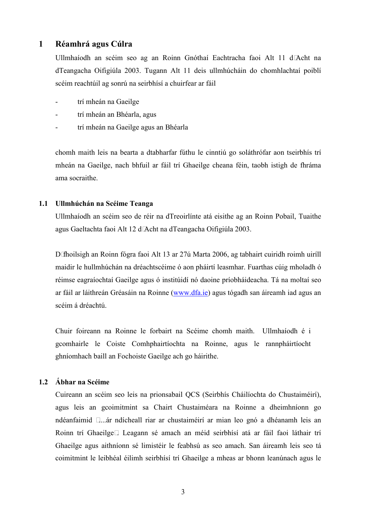#### **1 Réamhrá agus Cúlra**

Ullmhaíodh an scéim seo ag an Roinn Gnóthaí Eachtracha faoi Alt 11 d'Acht na dTeangacha Oifigiúla 2003. Tugann Alt 11 deis ullmhúcháin do chomhlachtaí poiblí scéim reachtúil ag sonrú na seirbhísí a chuirfear ar fáil

- trí mheán na Gaeilge
- trí mheán an Bhéarla, agus
- trí mheán na Gaeilge agus an Bhéarla

chomh maith leis na bearta a dtabharfar fúthu le cinntiú go soláthrófar aon tseirbhís trí mheán na Gaeilge, nach bhfuil ar fáil trí Ghaeilge cheana féin, taobh istigh de fhráma ama socraithe.

#### **1.1 Ullmhúchán na Scéime Teanga**

Ullmhaíodh an scéim seo de réir na dTreoirlínte atá eisithe ag an Roinn Pobail, Tuaithe agus Gaeltachta faoi Alt 12 d Acht na dTeangacha Oifigiúla 2003.

D fhoilsigh an Roinn fógra faoi Alt 13 ar 27ú Marta 2006, ag tabhairt cuiridh roimh uiríll maidir le hullmhúchán na dréachtscéime ó aon pháirtí leasmhar. Fuarthas cúig mholadh ó réimse eagraíochtaí Gaeilge agus ó institúidí nó daoine príobháideacha. Tá na moltaí seo ar fáil ar láithreán Gréasáin na Roinne (www.dfa.ie) agus tógadh san áireamh iad agus an scéim á dréachtú.

Chuir foireann na Roinne le forbairt na Scéime chomh maith.Ullmhaíodh é i gcomhairle le Coiste Comhphairtíochta na Roinne, agus le rannpháirtíocht ghníomhach baill an Fochoiste Gaeilge ach go háirithe.

#### **1.2 Ábhar na Scéime**

Cuireann an scéim seo leis na prionsabail QCS (Seirbhís Cháilíochta do Chustaiméirí), agus leis an gcoimitmint sa Chairt Chustaiméara na Roinne a dheimhníonn go ndéanfaimid ....ár ndícheall riar ar chustaiméirí ar mian leo gnó a dhéanamh leis an Roinn trí Ghaeilge. Leagann sé amach an méid seirbhísí atá ar fáil faoi láthair trí Ghaeilge agus aithníonn sé limistéir le feabhsú as seo amach. San áireamh leis seo tá coimitmint le leibhéal éilimh seirbhísí trí Ghaeilge a mheas ar bhonn leanúnach agus le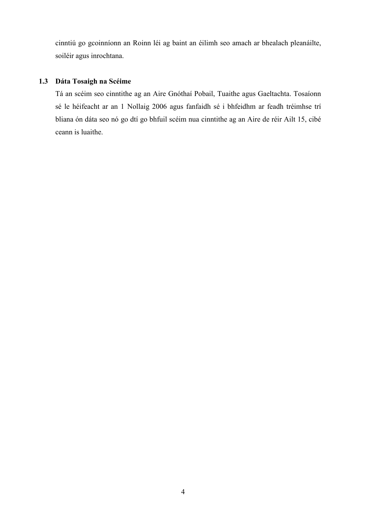cinntiú go gcoinníonn an Roinn léi ag baint an éilimh seo amach ar bhealach pleanáilte, soiléir agus inrochtana.

#### **1.3 Dáta Tosaigh na Scéime**

Tá an scéim seo cinntithe ag an Aire Gnóthaí Pobail, Tuaithe agus Gaeltachta. Tosaíonn sé le héifeacht ar an 1 Nollaig 2006 agus fanfaidh sé i bhfeidhm ar feadh tréimhse trí bliana ón dáta seo nó go dtí go bhfuil scéim nua cinntithe ag an Aire de réir Ailt 15, cibé ceann is luaithe.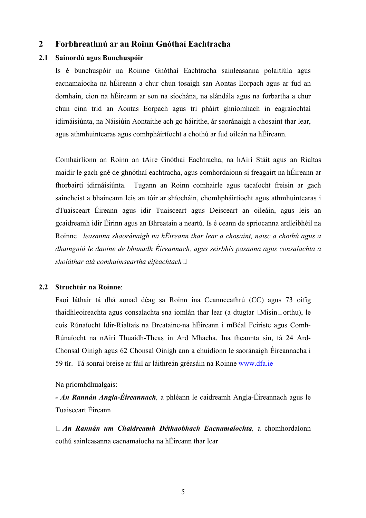#### **2 Forbhreathnú ar an Roinn Gnóthaí Eachtracha**

#### **2.1 Sainordú agus Bunchuspóir**

Is é bunchuspóir na Roinne Gnóthaí Eachtracha sainleasanna polaitiúla agus eacnamaíocha na hÉireann a chur chun tosaigh san Aontas Eorpach agus ar fud an domhain, cion na hÉireann ar son na síochána, na slándála agus na forbartha a chur chun cinn tríd an Aontas Eorpach agus trí pháirt ghníomhach in eagraíochtaí idirnáisiúnta, na Náisiúin Aontaithe ach go háirithe, ár saoránaigh a chosaint thar lear, agus athmhuintearas agus comhpháirtíocht a chothú ar fud oileán na hÉireann.

Comhairlíonn an Roinn an tAire Gnóthaí Eachtracha, na hAirí Stáit agus an Rialtas maidir le gach gné de ghnóthaí eachtracha, agus comhordaíonn sí freagairt na hÉireann ar fhorbairtí idirnáisiúnta. Tugann an Roinn comhairle agus tacaíocht freisin ar gach saincheist a bhaineann leis an tóir ar shíocháin, chomhpháirtíocht agus athmhuintearas i dTuaisceart Éireann agus idir Tuaisceart agus Deisceart an oileáin, agus leis an gcaidreamh idir Éirinn agus an Bhreatain a neartú. Is é ceann de spriocanna ardleibhéil na Roinne *leasanna shaoránaigh na hÉireann thar lear a chosaint, naisc a chothú agus a dhaingniú le daoine de bhunadh Éireannach, agus seirbhís pasanna agus consalachta a sholáthar atá comhaimseartha éifeachtach*.

#### **2.2 Struchtúr na Roinne**:

Faoi láthair tá dhá aonad déag sa Roinn ina Ceannceathrú (CC) agus 73 oifig thaidhleoireachta agus consalachta sna iomlán thar lear (a dtugtar Misin orthu), le cois Rúnaíocht Idir-Rialtais na Breataine-na hÉireann i mBéal Feiriste agus Comh-Rúnaíocht na nAirí Thuaidh-Theas in Ard Mhacha. Ina theannta sin, tá 24 Ard-Chonsal Oinigh agus 62 Chonsal Oinigh ann a chuidíonn le saoránaigh Éireannacha i 59 tír. Tá sonraí breise ar fáil ar láithreán gréasáin na Roinne www.dfa.ie

Na príomhdhualgais:

*- An Rannán Angla-Éireannach,* a phléann le caidreamh Angla-Éireannach agus le Tuaisceart Éireann

 *An Rannán um Chaidreamh Déthaobhach Eacnamaíochta,* a chomhordaíonn cothú sainleasanna eacnamaíocha na hÉireann thar lear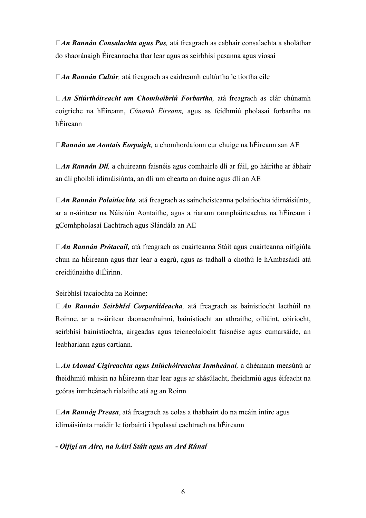*An Rannán Consalachta agus Pas,* atá freagrach as cabhair consalachta a sholáthar do shaoránaigh Éireannacha thar lear agus as seirbhísí pasanna agus víosaí

*An Rannán Cultúr,* atá freagrach as caidreamh cultúrtha le tíortha eile

 *An Stiúrthóireacht um Chomhoibriú Forbartha,* atá freagrach as clár chúnamh coigríche na hÉireann, *Cúnamh Éireann,* agus as feidhmiú pholasaí forbartha na hÉireann

*Rannán an Aontais Eorpaigh,* a chomhordaíonn cur chuige na hÉireann san AE

 *An Rannán Dlí,* a chuireann faisnéis agus comhairle dlí ar fáil, go háirithe ar ábhair an dlí phoiblí idirnáisiúnta, an dlí um chearta an duine agus dlí an AE

 *An Rannán Polaitíochta,* atá freagrach as saincheisteanna polaitíochta idirnáisiúnta, ar a n-áirítear na Náisiúin Aontaithe, agus a riarann rannpháirteachas na hÉireann i gComhpholasaí Eachtrach agus Slándála an AE

 *An Rannán Prótacail,* atá freagrach as cuairteanna Stáit agus cuairteanna oifigiúla chun na hÉireann agus thar lear a eagrú, agus as tadhall a chothú le hAmbasáidí atá creidiúnaithe dÉirinn

Seirbhísí tacaíochta na Roinne:

 *An Rannán Seirbhísí Corparáideacha,* atá freagrach as bainistíocht laethúil na Roinne, ar a n-áirítear daonacmhainní, bainistíocht an athraithe, oiliúint, cóiríocht, seirbhísí bainistíochta, airgeadas agus teicneolaíocht faisnéise agus cumarsáide, an leabharlann agus cartlann.

 *An tAonad Cigireachta agus Iniúchóireachta Inmheánaí,* a dhéanann measúnú ar fheidhmiú mhisin na hÉireann thar lear agus ar shásúlacht, fheidhmiú agus éifeacht na gcóras inmheánach rialaithe atá ag an Roinn

 *An Rannóg Preasa*, atá freagrach as eolas a thabhairt do na meáin intíre agus idirnáisiúnta maidir le forbairtí i bpolasaí eachtrach na hÉireann

**-** *Oifigí an Aire, na hAirí Stáit agus an Ard Rúnaí*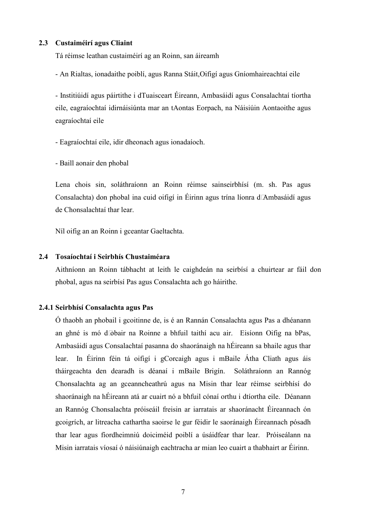#### **2.3 Custaiméirí agus Cliaint**

Tá réimse leathan custaiméirí ag an Roinn, san áireamh

- An Rialtas, ionadaithe poiblí, agus Ranna Stáit,Oifigí agus Gníomhaireachtaí eile

- Institiúidí agus páirtithe i dTuaisceart Éireann, Ambasáidí agus Consalachtaí tíortha eile, eagraíochtaí idirnáisiúnta mar an tAontas Eorpach, na Náisiúin Aontaoithe agus eagraíochtaí eile

- Eagraíochtaí eile, idir dheonach agus ionadaíoch.

- Baill aonair den phobal

Lena chois sin, soláthraíonn an Roinn réimse sainseirbhísí (m. sh. Pas agus Consalachta) don phobal ina cuid oifigí in Éirinn agus trína líonra dAmbasáidí agus de Chonsalachtaí thar lear.

Níl oifig an an Roinn i gceantar Gaeltachta.

#### **2.4 Tosaíochtaí i Seirbhís Chustaiméara**

Aithníonn an Roinn tábhacht at leith le caighdeán na seirbísí a chuirtear ar fáil don phobal, agus na seirbísí Pas agus Consalachta ach go háirithe.

#### **2.4.1 Seirbhísí Consalachta agus Pas**

Ó thaobh an phobail i gcoitinne de, is é an Rannán Consalachta agus Pas a dhéanann an ghné is mó dobair na Roinne a bhfuil taithí acu air.Eisíonn Oifig na bPas, Ambasáidí agus Consalachtaí pasanna do shaoránaigh na hÉireann sa bhaile agus thar lear. In Éirinn féin tá oifigí i gCorcaigh agus i mBaile Átha Cliath agus áis tháirgeachta den dearadh is déanaí i mBaile Brigín. Soláthraíonn an Rannóg Chonsalachta ag an gceanncheathrú agus na Misin thar lear réimse seirbhísí do shaoránaigh na hÉireann atá ar cuairt nó a bhfuil cónaí orthu i dtíortha eile. Déanann an Rannóg Chonsalachta próiseáil freisin ar iarratais ar shaoránacht Éireannach ón gcoigrích, ar litreacha cathartha saoirse le gur féidir le saoránaigh Éireannach pósadh thar lear agus fíordheimniú doiciméid poiblí a úsáidfear thar lear. Próiseálann na Misin iarratais víosaí ó náisiúnaigh eachtracha ar mian leo cuairt a thabhairt ar Éirinn.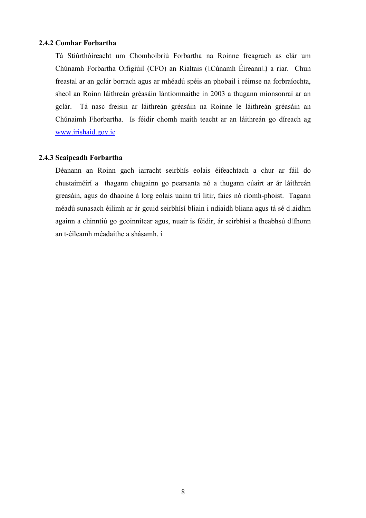#### **2.4.2 Comhar Forbartha**

Tá Stiúrthóireacht um Chomhoibriú Forbartha na Roinne freagrach as clár um Chúnamh Forbartha Oifigiúil (CFO) an Rialtais (Cúnamh Éireann) a riar. Chun freastal ar an gclár borrach agus ar mhéadú spéis an phobail i réimse na forbraíochta, sheol an Roinn láithreán gréasáin lántiomnaithe in 2003 a thugann mionsonraí ar an gclár. Tá nasc freisin ar láithreán gréasáin na Roinne le láithreán gréasáin an Chúnaimh Fhorbartha. Is féidir chomh maith teacht ar an láithreán go díreach ag www.irishaid.gov.ie

#### **2.4.3 Scaipeadh Forbartha**

Déanann an Roinn gach iarracht seirbhís eolais éifeachtach a chur ar fáil do chustaiméirí a thagann chugainn go pearsanta nó a thugann cúairt ar ár láithreán greasáin, agus do dhaoine á lorg eolais uainn trí litir, faics nó ríomh-phoist. Tagann méadú sunasach éilimh ar ár gcuid seirbhísí bliain i ndiaidh bliana agus tá sé d aidhm againn a chinntiú go gcoinnítear agus, nuair is féidir, ár seirbhísí a fheabhsú d fhonn an t-éileamh méadaithe a shásamh. í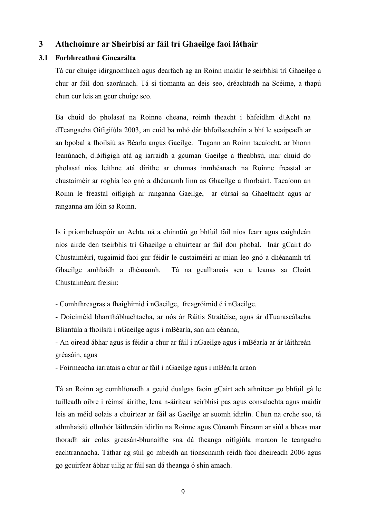#### **3 Athchoimre ar Sheirbísí ar fáil trí Ghaeilge faoi láthair**

#### **3.1 Forbhreathnú Ginearálta**

Tá cur chuige idirgnomhach agus dearfach ag an Roinn maidir le seirbhísí trí Ghaeilge a chur ar fáil don saoránach. Tá sí tiomanta an deis seo, dréachtadh na Scéime, a thapú chun cur leis an gcur chuige seo.

Ba chuid do pholasaí na Roinne cheana, roimh theacht i bhfeidhm dAcht na dTeangacha Oifigiíúla 2003, an cuid ba mhó dár bhfoilseacháin a bhí le scaipeadh ar an bpobal a fhoilsiú as Béarla angus Gaeilge. Tugann an Roinn tacaíocht, ar bhonn leanúnach, doifigigh atá ag iarraidh a gcuman Gaeilge a fheabhsú, mar chuid do pholasaí níos leithne atá dírithe ar chumas inmhéanach na Roinne freastal ar chustaiméir ar roghía leo gnó a dhéanamh linn as Ghaeilge a fhorbairt. Tacaíonn an Roinn le freastal oifigigh ar ranganna Gaeilge, ar cúrsaí sa Ghaeltacht agus ar ranganna am lóin sa Roinn.

Is í príomhchuspóir an Achta ná a chinntiú go bhfuil fáil níos fearr agus caighdeán níos airde den tseirbhís trí Ghaeilge a chuirtear ar fáil don phobal. Inár gCairt do Chustaiméirí, tugaimid faoi gur féidir le custaiméirí ar mian leo gnó a dhéanamh trí Ghaeilge amhlaidh a dhéanamh. Tá na gealltanais seo a leanas sa Chairt Chustaiméara freisin:

- Comhfhreagras a fhaighimid i nGaeilge, freagróimid é i nGaeilge.

- Doiciméid bharrthábhachtacha, ar nós ár Ráitis Straitéise, agus ár dTuarascálacha Bliantúla a fhoilsiú i nGaeilge agus i mBéarla, san am céanna,

- An oiread ábhar agus is féidir a chur ar fáil i nGaeilge agus i mBéarla ar ár láithreán gréasáin, agus

- Foirmeacha iarratais a chur ar fáil i nGaeilge agus i mBéarla araon

Tá an Roinn ag comhlíonadh a gcuid dualgas faoin gCairt ach athnítear go bhfuil gá le tuilleadh oibre i réimsí áirithe, lena n-áiritear seirbhísí pas agus consalachta agus maidir leis an méid eolais a chuirtear ar fáil as Gaeilge ar suomh idirlín. Chun na crche seo, tá athmhaisiú ollmhór láithreáin idirlín na Roinne agus Cúnamh Éireann ar siúl a bheas mar thoradh air eolas greasán-bhunaithe sna dá theanga oifigiúla maraon le teangacha eachtrannacha. Táthar ag súil go mbeidh an tionscnamh réidh faoi dheireadh 2006 agus go gcuirfear ábhar uilig ar fáil san dá theanga ó shin amach.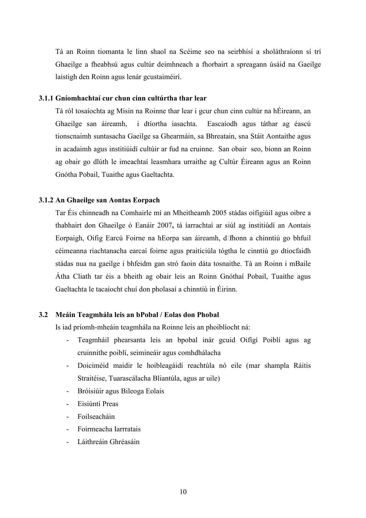Tá an Roinn tiomanta le linn shaol na Scéime seo na seirbhísí a sholáthraíonn sí trí Ghaeilge a fheabhsú agus cultúr deimhneach a fhorbairt a spreagann úsáid na Gaeilge laistigh den Roinn agus lenár gcustaiméirí.

#### **3.1.1 Gníomhachtaí cur chun cinn cultúrtha thar lear**

Tá ról tosaíochta ag Misin na Roinne thar lear i gcur chun cinn cultúr na hÉireann, an Ghaeilge san áireamh,i dtíortha iasachta. Eascaíodh agus táthar ag éascú tionscnaimh suntasacha Gaeilge sa Ghearmáin, sa Bhreatain, sna Stáit Aontaithe agus in acadaimh agus institiúidí cultúir ar fud na cruinne. San obair seo, bíonn an Roinn ag obair go dlúth le imeachtaí leasmhara urraithe ag Cultúr Éireann agus an Roinn Gnótha Pobail, Tuaithe agus Gaeltachta.

#### **3.1.2 An Ghaeilge san Aontas Eorpach**

Tar Éis chinneadh na Comhairle mí an Mheitheamh 2005 stádas oifigiúil agus oibre a thabhairt don Ghaeilge ó Eanáir 2007**,** tá íarrachtaí ar siúl ag institiúdí an Aontais Eorpaigh, Oifig Earcú Foirne na hEorpa san áireamh, dfhonn a chinntiú go bhfuil céimeanna riachtanacha earcaí foirne agus praiticiúla tógtha le cinntiú go dtiocfaidh stádas nua na gaeilge i bhfeidm gan stró faoin dáta tosnaithe. Tá an Roinn i mBaile Átha Cliath tar éis a bheith ag obair leis an Roinn Gnóthaí Pobail, Tuaithe agus Gaeltachta le tacaíocht chuí don pholasaí a chinntiú in Éirinn.

#### **3.2 Meáin Teagmhála leis an bPobal / Eolas don Phobal**

Is iad príomh-mheáin teagmhála na Roinne leis an phoiblíocht ná:

- Teagmháil phearsanta leis an bpobal inár gcuid Oifígí Poiblí agus ag cruinnithe poiblí, seimineáir agus comhdhálacha
- Doiciméid maidir le hoibleagáidí reachtúla nó eile (mar shampla Ráitis Straitéise, Tuarascálacha Bliantúla, agus ar uile)
- Bróisiúir agus Bileoga Eolais
- Eisiúntí Preas
- Foilseacháin
- Foirmeacha Iarrratais
- Láithreáin Ghréasáin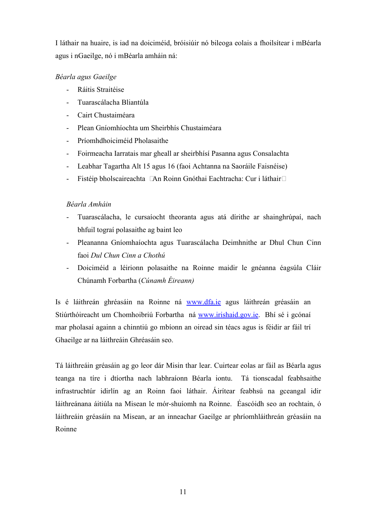I láthair na huaire, is iad na doiciméid, bróisiúir nó bileoga eolais a fhoilsítear i mBéarla agus i nGaeilge, nó i mBéarla amháin ná:

#### *Béarla agus Gaeilge*

- Ráitis Straitéise
- Tuarascálacha Bliantúla
- Cairt Chustaiméara
- Plean Gníomhíochta um Sheirbhís Chustaiméara
- Príomhdhoiciméid Pholasaithe
- Foirmeacha Iarratais mar gheall ar sheirbhísí Pasanna agus Consalachta
- Leabhar Tagartha Alt 15 agus 16 (faoi Achtanna na Saoráile Faisnéise)
- Fistéip bholscaireachta An Roinn Gnóthai Eachtracha: Cur i láthair

#### *Béarla Amháin*

- Tuarascálacha, le cursaíocht theoranta agus atá dírithe ar shainghrúpaí, nach bhfuil tograí polasaithe ag baint leo
- Pleananna Gníomhaíochta agus Tuarascálacha Deimhnithe ar Dhul Chun Cinn faoi *Dul Chun Cinn a Chothú*
- Doiciméid a léirionn polasaithe na Roinne maidir le gnéanna éagsúla Cláir Chúnamh Forbartha (*Cúnamh Éireann)*

Is é láithreán ghréasáin na Roinne ná www.dfa.ie agus láithreán gréasáin an Stiúrthóireacht um Chomhoibriú Forbartha ná www.irishaid.gov.ie. Bhí sé i gcónaí mar pholasaí againn a chinntiú go mbíonn an oiread sin téacs agus is féidir ar fáil trí Ghaeilge ar na láithreáin Ghréasáin seo.

Tá láithreáin gréasáin ag go leor dár Misin thar lear. Cuirtear eolas ar fáil as Béarla agus teanga na tíre i dtíortha nach labhraíonn Béarla iontu. Tá tionscadal feabhsaithe infrastruchtúr idirlín ag an Roinn faoi láthair. Áirítear feabhsú na gceangal idir láithreánana áitiúla na Misean le mór-shuíomh na Roinne. Éascóidh seo an rochtain, ó láithreáin gréasáin na Misean, ar an inneachar Gaeilge ar phríomhláithreán gréasáin na Roinne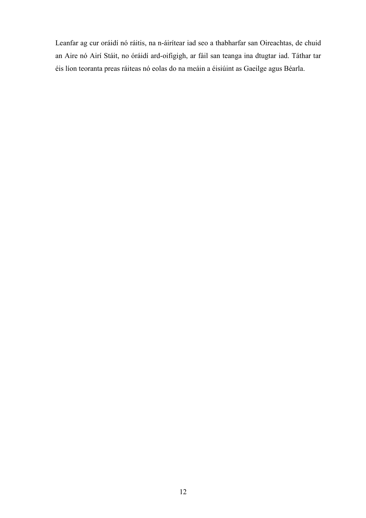Leanfar ag cur oráidí nó ráitis, na n-áirítear iad seo a thabharfar san Oireachtas, de chuid an Aire nó Airí Stáit, no óráidí ard-oifigigh, ar fáil san teanga ina dtugtar iad. Táthar tar éis líon teoranta preas ráiteas nó eolas do na meáin a éisiúint as Gaeilge agus Béarla.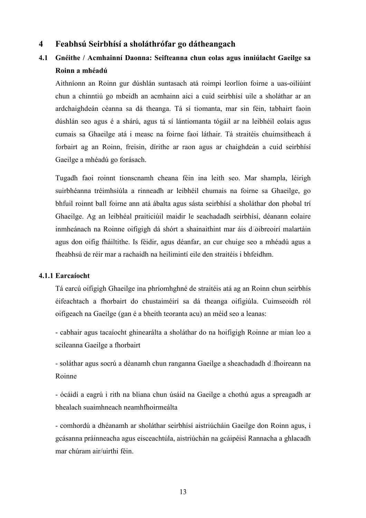#### **4 Feabhsú Seirbhísí a sholáthrófar go dátheangach**

### **4.1 Gnéithe / Acmhainní Daonna: Seifteanna chun eolas agus inniúlacht Gaeilge sa Roinn a mhéadú**

Aithníonn an Roinn gur dúshlán suntasach atá roimpi leorlíon foirne a uas-oiliúint chun a chinntiú go mbeidh an acmhainn aici a cuid seirbhísí uile a sholáthar ar an ardchaighdeán céanna sa dá theanga. Tá sí tiomanta, mar sin féin, tabhairt faoin dúshlán seo agus é a shárú, agus tá sí lántiomanta tógáil ar na leibhéil eolais agus cumais sa Ghaeilge atá i measc na foirne faoi láthair. Tá straitéis chuimsitheach á forbairt ag an Roinn, freisin, dírithe ar raon agus ar chaighdeán a cuid seirbhísí Gaeilge a mhéadú go forásach.

Tugadh faoi roinnt tionscnamh cheana féin ina leith seo. Mar shampla, léirigh suirbhéanna tréimhsiúla a rinneadh ar leibhéil chumais na foirne sa Ghaeilge, go bhfuil roinnt ball foirne ann atá ábalta agus sásta seirbhísí a sholáthar don phobal trí Ghaeilge. Ag an leibhéal praiticiúil maidir le seachadadh seirbhísí, déanann eolaire inmheánach na Roinne oifigigh dá shórt a shainaithint mar áis doibreoirí malartáin agus don oifig fháiltithe. Is féidir, agus déanfar, an cur chuige seo a mhéadú agus a fheabhsú de réir mar a rachaidh na heilimintí eile den straitéis i bhfeidhm.

#### **4.1.1 Earcaíocht**

Tá earcú oifigigh Ghaeilge ina phríomhghné de straitéis atá ag an Roinn chun seirbhís éifeachtach a fhorbairt do chustaiméirí sa dá theanga oifigiúla. Cuimseoidh ról oifigeach na Gaeilge (gan é a bheith teoranta acu) an méid seo a leanas:

- cabhair agus tacaíocht ghinearálta a sholáthar do na hoifigigh Roinne ar mian leo a scileanna Gaeilge a fhorbairt

- soláthar agus socrú a déanamh chun ranganna Gaeilge a sheachadadh d fhoireann na Roinne

- ócáidí a eagrú i rith na bliana chun úsáid na Gaeilge a chothú agus a spreagadh ar bhealach suaimhneach neamhfhoirmeálta

- comhordú a dhéanamh ar sholáthar seirbhísí aistriúcháin Gaeilge don Roinn agus, i gcásanna práinneacha agus eisceachtúla, aistriúchán na gcáipéisí Rannacha a ghlacadh mar chúram air/uirthi féin.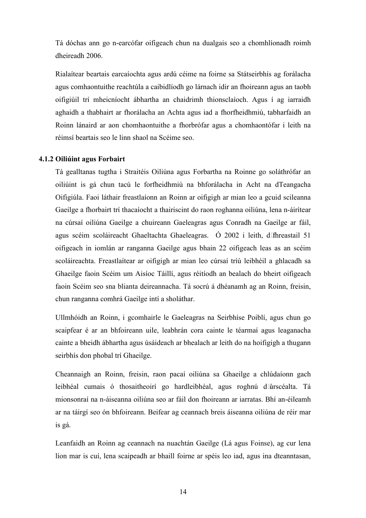Tá dóchas ann go n-earcófar oifigeach chun na dualgais seo a chomhlíonadh roimh dheireadh 2006.

Rialaítear beartais earcaíochta agus ardú céime na foirne sa Státseirbhís ag forálacha agus comhaontuithe reachtúla a caibidlíodh go lárnach idir an fhoireann agus an taobh oifigiúil trí mheicníocht ábhartha an chaidrimh thionsclaíoch. Agus í ag iarraidh aghaidh a thabhairt ar fhorálacha an Achta agus iad a fhorfheidhmiú, tabharfaidh an Roinn lánaird ar aon chomhaontuithe a fhorbrófar agus a chomhaontófar i leith na réimsí beartais seo le linn shaol na Scéime seo.

#### **4.1.2 Oiliúint agus Forbairt**

Tá gealltanas tugtha i Straitéis Oiliúna agus Forbartha na Roinne go soláthrófar an oiliúint is gá chun tacú le forfheidhmiú na bhforálacha in Acht na dTeangacha Oifigiúla. Faoi láthair freastlaíonn an Roinn ar oifigigh ar mian leo a gcuid scileanna Gaeilge a fhorbairt trí thacaíocht a thairiscint do raon roghanna oiliúna, lena n-áirítear na cúrsaí oiliúna Gaeilge a chuireann Gaeleagras agus Conradh na Gaeilge ar fáil, agus scéim scoláireacht Ghaeltachta Ghaeleagras. Ó 2002 i leith, dfhreastail 51 oifigeach in iomlán ar ranganna Gaeilge agus bhain 22 oifigeach leas as an scéim scoláireachta. Freastlaítear ar oifigigh ar mian leo cúrsaí tríú leibhéil a ghlacadh sa Ghaeilge faoin Scéim um Aisíoc Táillí, agus réitíodh an bealach do bheirt oifigeach faoin Scéim seo sna blianta deireannacha. Tá socrú á dhéanamh ag an Roinn, freisin, chun ranganna comhrá Gaeilge intí a sholáthar.

Ullmhóidh an Roinn, i gcomhairle le Gaeleagras na Seirbhíse Poiblí, agus chun go scaipfear é ar an bhfoireann uile, leabhrán cora cainte le téarmaí agus leaganacha cainte a bheidh ábhartha agus úsáideach ar bhealach ar leith do na hoifigigh a thugann seirbhís don phobal trí Ghaeilge.

Cheannaigh an Roinn, freisin, raon pacaí oiliúna sa Ghaeilge a chlúdaíonn gach leibhéal cumais ó thosaitheoirí go hardleibhéal, agus roghnú dúrscéalta. Tá mionsonraí na n-áiseanna oiliúna seo ar fáil don fhoireann ar iarratas. Bhí an-éileamh ar na táirgí seo ón bhfoireann. Beifear ag ceannach breis áiseanna oiliúna de réir mar is gá.

Leanfaidh an Roinn ag ceannach na nuachtán Gaeilge (Lá agus Foinse), ag cur lena líon mar is cuí, lena scaipeadh ar bhaill foirne ar spéis leo iad, agus ina dteanntasan,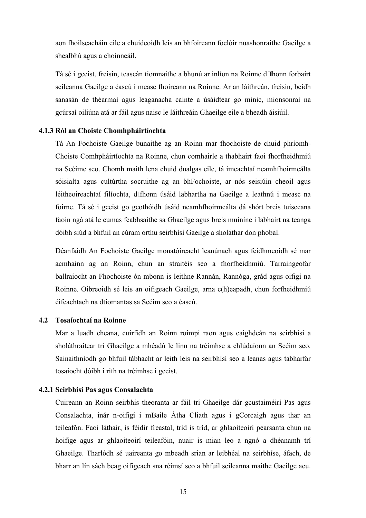aon fhoilseacháin eile a chuideoidh leis an bhfoireann foclóir nuashonraithe Gaeilge a shealbhú agus a choinneáil.

Tá sé i gceist, freisin, teascán tiomnaithe a bhunú ar inlíon na Roinne dfhonn forbairt scileanna Gaeilge a éascú i measc fhoireann na Roinne. Ar an láithreán, freisin, beidh sanasán de théarmaí agus leaganacha cainte a úsáidtear go minic, mionsonraí na gcúrsaí oiliúna atá ar fáil agus naisc le láithreáin Ghaeilge eile a bheadh áisiúil.

#### **4.1.3 Ról an Choiste Chomhpháirtíochta**

Tá An Fochoiste Gaeilge bunaithe ag an Roinn mar fhochoiste de chuid phríomh-Choiste Comhpháirtíochta na Roinne, chun comhairle a thabhairt faoi fhorfheidhmiú na Scéime seo. Chomh maith lena chuid dualgas eile, tá imeachtaí neamhfhoirmeálta sóisialta agus cultúrtha socruithe ag an bhFochoiste, ar nós seisiúin cheoil agus léitheoireachtaí filíochta, dfhonn úsáid labhartha na Gaeilge a leathnú i measc na foirne. Tá sé i gceist go gcothóidh úsáid neamhfhoirmeálta dá shórt breis tuisceana faoin ngá atá le cumas feabhsaithe sa Ghaeilge agus breis muiníne i labhairt na teanga dóibh siúd a bhfuil an cúram orthu seirbhísí Gaeilge a sholáthar don phobal.

Déanfaidh An Fochoiste Gaeilge monatóireacht leanúnach agus feidhmeoidh sé mar acmhainn ag an Roinn, chun an straitéis seo a fhorfheidhmiú. Tarraingeofar ballraíocht an Fhochoiste ón mbonn is leithne Rannán, Rannóga, grád agus oifigí na Roinne. Oibreoidh sé leis an oifigeach Gaeilge, arna c(h)eapadh, chun forfheidhmiú éifeachtach na dtiomantas sa Scéim seo a éascú.

#### **4.2 Tosaíochtaí na Roinne**

Mar a luadh cheana, cuirfidh an Roinn roimpi raon agus caighdeán na seirbhísí a sholáthraítear trí Ghaeilge a mhéadú le linn na tréimhse a chlúdaíonn an Scéim seo. Sainaithníodh go bhfuil tábhacht ar leith leis na seirbhísí seo a leanas agus tabharfar tosaíocht dóibh i rith na tréimhse i gceist.

#### **4.2.1 Seirbhísí Pas agus Consalachta**

Cuireann an Roinn seirbhís theoranta ar fáil trí Ghaeilge dár gcustaiméirí Pas agus Consalachta, inár n-oifigí i mBaile Átha Cliath agus i gCorcaigh agus thar an teileafón. Faoi láthair, is féidir freastal, tríd is tríd, ar ghlaoiteoirí pearsanta chun na hoifige agus ar ghlaoiteoirí teileafóin, nuair is mian leo a ngnó a dhéanamh trí Ghaeilge. Tharlódh sé uaireanta go mbeadh srian ar leibhéal na seirbhíse, áfach, de bharr an lín sách beag oifigeach sna réimsí seo a bhfuil scileanna maithe Gaeilge acu.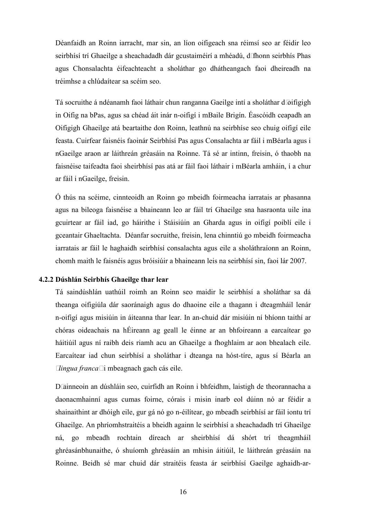Déanfaidh an Roinn iarracht, mar sin, an líon oifigeach sna réimsí seo ar féidir leo seirbhísí trí Ghaeilge a sheachadadh dár gcustaiméirí a mhéadú, d fhonn seirbhís Phas agus Chonsalachta éifeachteacht a sholáthar go dhátheangach faoi dheireadh na tréimhse a chlúdaítear sa scéim seo.

Tá socruithe á ndéanamh faoi láthair chun ranganna Gaeilge intí a sholáthar doifigigh in Oifig na bPas, agus sa chéad áit inár n-oifigí i mBaile Brigín. Éascóidh ceapadh an Oifigigh Ghaeilge atá beartaithe don Roinn, leathnú na seirbhíse seo chuig oifigí eile feasta. Cuirfear faisnéis faoinár Seirbhísí Pas agus Consalachta ar fáil i mBéarla agus i nGaeilge araon ar láithreán gréasáin na Roinne. Tá sé ar intinn, freisin, ó thaobh na faisnéise taifeadta faoi sheirbhísí pas atá ar fáil faoi láthair i mBéarla amháin, í a chur ar fáil i nGaeilge, freisin.

Ó thús na scéime, cinnteoidh an Roinn go mbeidh foirmeacha iarratais ar phasanna agus na bileoga faisnéise a bhaineann leo ar fáil trí Ghaeilge sna hasraonta uile ina gcuirtear ar fáil iad, go háirithe i Stáisiúin an Gharda agus in oifigí poiblí eile i gceantair Ghaeltachta. Déanfar socruithe, freisin, lena chinntiú go mbeidh foirmeacha iarratais ar fáil le haghaidh seirbhísí consalachta agus eile a sholáthraíonn an Roinn, chomh maith le faisnéis agus bróisiúir a bhaineann leis na seirbhísí sin, faoi lár 2007.

#### **4.2.2 Dúshlán Seirbhís Ghaeilge thar lear**

Tá saindúshlán uathúil roimh an Roinn seo maidir le seirbhísí a sholáthar sa dá theanga oifigiúla dár saoránaigh agus do dhaoine eile a thagann i dteagmháil lenár n-oifigí agus misiúin in áiteanna thar lear. In an-chuid dár misiúin ní bhíonn taithí ar chóras oideachais na hÉireann ag geall le éinne ar an bhfoireann a earcaítear go háitiúil agus ní raibh deis riamh acu an Ghaeilge a fhoghlaim ar aon bhealach eile. Earcaítear iad chun seirbhísí a sholáthar i dteanga na hóst-tíre, agus sí Béarla an *lingua franca* i mbeagnach gach cás eile.

Dainneoin an dúshláin seo, cuirfidh an Roinn i bhfeidhm, laistigh de theorannacha a daonacmhainní agus cumas foirne, córais i misin inarb eol dúinn nó ar féidir a shainaithint ar dhóigh eile, gur gá nó go n-éilítear, go mbeadh seirbhísí ar fáil iontu trí Ghaeilge. An phríomhstraitéis a bheidh againn le seirbhísí a sheachadadh trí Ghaeilge ná, go mbeadh rochtain díreach ar sheirbhísí dá shórt trí theagmháil ghréasánbhunaithe, ó shuíomh ghréasáin an mhisin áitiúil, le láithreán gréasáin na Roinne. Beidh sé mar chuid dár straitéis feasta ár seirbhísí Gaeilge aghaidh-ar-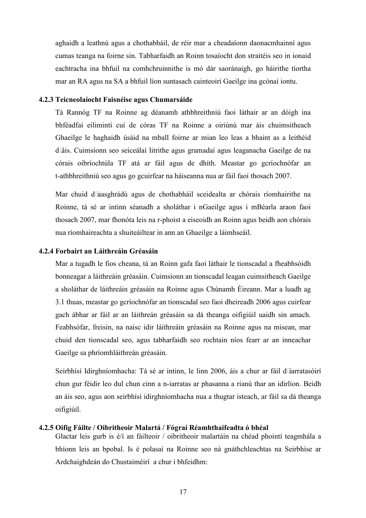aghaidh a leathnú agus a chothabháil, de réir mar a cheadaíonn daonacmhainní agus cumas teanga na foirne sin. Tabharfaidh an Roinn tosaíocht don straitéis seo in ionaid eachtracha ina bhfuil na comhchruinnithe is mó dár saoránaigh, go háirithe tíortha mar an RA agus na SA a bhfuil líon suntasach cainteoirí Gaeilge ina gcónaí iontu.

#### **4.2.3 Teicneolaíocht Faisnéise agus Chumarsáide**

Tá Rannóg TF na Roinne ag déanamh athbhreithniú faoi láthair ar an dóigh ina bhféadfaí eilimintí cuí de córas TF na Roinne a oiriúnú mar áis chuimsitheach Ghaeilge le haghaidh úsáid na mball foirne ar mian leo leas a bhaint as a leithéid dáis. Cuimsíonn seo seiceálaí litrithe agus gramadaí agus leaganacha Gaeilge de na córais oibríochtúla TF atá ar fáil agus de dhíth. Meastar go gcríochnófar an t-athbhreithniú seo agus go gcuirfear na háiseanna nua ar fáil faoi thosach 2007.

Mar chuid duasghrádú agus de chothabháil sceidealta ar chórais ríomhairithe na Roinne, tá sé ar intinn séanadh a sholáthar i nGaeilge agus i mBéarla araon faoi thosach 2007, mar fhonóta leis na r-phoist a eiseoidh an Roinn agus beidh aon chórais nua ríomhaireachta a shuiteáiltear in ann an Ghaeilge a láimhseáil.

#### **4.2.4 Forbairt an Láithreáin Gréasáin**

Mar a tugadh le fios cheana, tá an Roinn gafa faoi láthair le tionscadal a fheabhsóidh bonneagar a láithreáin gréasáin. Cuimsíonn an tionscadal leagan cuimsitheach Gaeilge a sholáthar de láithreáin gréasáin na Roinne agus Chúnamh Éireann. Mar a luadh ag 3.1 thuas, meastar go gcríochnófar an tionscadal seo faoi dheireadh 2006 agus cuirfear gach ábhar ar fáil ar an láithreán gréasáin sa dá theanga oifigiúil uaidh sin amach. Feabhsófar, freisin, na naisc idir láithreáin gréasáin na Roinne agus na misean, mar chuid den tionscadal seo, agus tabharfaidh seo rochtain níos fearr ar an inneachar Gaeilge sa phríomhláithreán gréasáin.

 Seirbhísí Idirghníomhacha: Tá sé ar intinn, le linn 2006, áis a chur ar fáil diarratasóirí chun gur féidir leo dul chun cinn a n-iarratas ar phasanna a rianú thar an idirlíon. Beidh an áis seo, agus aon seirbhísí idirghníomhacha nua a thugtar isteach, ar fáil sa dá theanga oifigiúil.

#### **4.2.5 Oifig Fáilte / Oibritheoir Malartá / Fógraí Réamhthaifeadta ó bhéal**

Glactar leis gurb is é/í an fáilteoir / oibritheoir malartáin na chéad phointí teagmhála a bhíonn leis an bpobal. Is é polasaí na Roinne seo ná gnáthchleachtas na Seirbhíse ar Ardchaighdeán do Chustaiméirí a chur i bhfeidhm: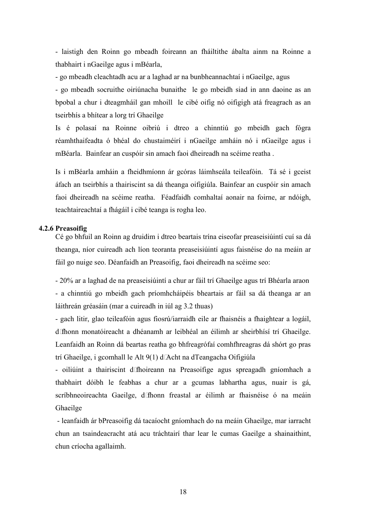- laistigh den Roinn go mbeadh foireann an fháiltithe ábalta ainm na Roinne a thabhairt i nGaeilge agus i mBéarla,

- go mbeadh cleachtadh acu ar a laghad ar na bunbheannachtaí i nGaeilge, agus

- go mbeadh socruithe oiriúnacha bunaithe le go mbeidh siad in ann daoine as an bpobal a chur i dteagmháil gan mhoill le cibé oifig nó oifigigh atá freagrach as an tseirbhís a bhítear a lorg trí Ghaeilge

Is é polasaí na Roinne oibriú i dtreo a chinntiú go mbeidh gach fógra réamhthaifeadta ó bhéal do chustaiméirí i nGaeilge amháin nó i nGaeilge agus i mBéarla. Bainfear an cuspóir sin amach faoi dheireadh na scéime reatha .

Is i mBéarla amháin a fheidhmíonn ár gcóras láimhseála teileafóin. Tá sé i gceist áfach an tseirbhís a thairiscint sa dá theanga oifigiúla. Bainfear an cuspóir sin amach faoi dheireadh na scéime reatha.Féadfaidh comhaltaí aonair na foirne, ar ndóigh, teachtaireachtaí a fhágáil i cibé teanga is rogha leo.

#### **4.2.6 Preasoifig**

Cé go bhfuil an Roinn ag druidim i dtreo beartais trína eiseofar preaseisiúintí cuí sa dá theanga, níor cuireadh ach líon teoranta preaseisiúintí agus faisnéise do na meáin ar fáil go nuige seo. Déanfaidh an Preasoifig, faoi dheireadh na scéime seo:

- 20% ar a laghad de na preaseisiúintí a chur ar fáil trí Ghaeilge agus trí Bhéarla araon - a chinntiú go mbeidh gach príomhcháipéis bheartais ar fáil sa dá theanga ar an láithreán gréasáin (mar a cuireadh in iúl ag 3.2 thuas)

- gach litir, glao teileafóin agus fiosrú/iarraidh eile ar fhaisnéis a fhaightear a logáil, dfhonn monatóireacht a dhéanamh ar leibhéal an éilimh ar sheirbhísí trí Ghaeilge. Leanfaidh an Roinn dá beartas reatha go bhfreagrófaí comhfhreagras dá shórt go pras trí Ghaeilge, i gcomhall le Alt  $9(1)$  dAcht na dTeangacha Oifigiúla

- oiliúint a thairiscint dfhoireann na Preasoifige agus spreagadh gníomhach a thabhairt dóibh le feabhas a chur ar a gcumas labhartha agus, nuair is gá, scríbhneoireachta Gaeilge, d'fhonn freastal ar éilimh ar fhaisnéise ó na meáin Ghaeilge

 - leanfaidh ár bPreasoifig dá tacaíocht gníomhach do na meáin Ghaeilge, mar iarracht chun an tsaindeacracht atá acu tráchtairí thar lear le cumas Gaeilge a shainaithint, chun críocha agallaimh.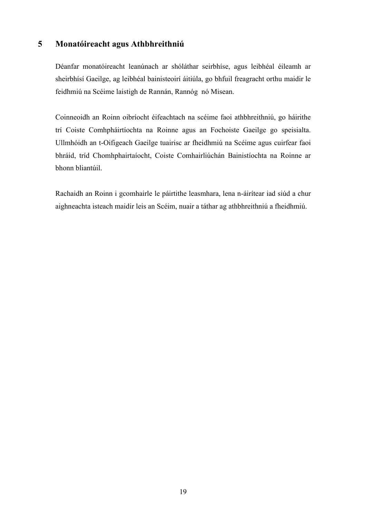#### **5 Monatóireacht agus Athbhreithniú**

Déanfar monatóireacht leanúnach ar shóláthar seirbhíse, agus leibhéal éileamh ar sheirbhísí Gaeilge, ag leibhéal bainisteoirí áitiúla, go bhfuil freagracht orthu maidir le feidhmiú na Scéime laistigh de Rannán, Rannóg nó Misean.

Coinneoidh an Roinn oibríocht éifeachtach na scéime faoi athbhreithniú, go háirithe trí Coiste Comhpháirtíochta na Roinne agus an Fochoiste Gaeilge go speisialta. Ullmhóidh an t-Oifigeach Gaeilge tuairisc ar fheidhmiú na Scéime agus cuirfear faoi bhráid, tríd Chomhphairtaíocht, Coiste Comhairliúchán Bainistíochta na Roinne ar bhonn bliantúil.

Rachaidh an Roinn i gcomhairle le páirtithe leasmhara, lena n-áirítear iad siúd a chur aighneachta isteach maidir leis an Scéim, nuair a táthar ag athbhreithniú a fheidhmiú.